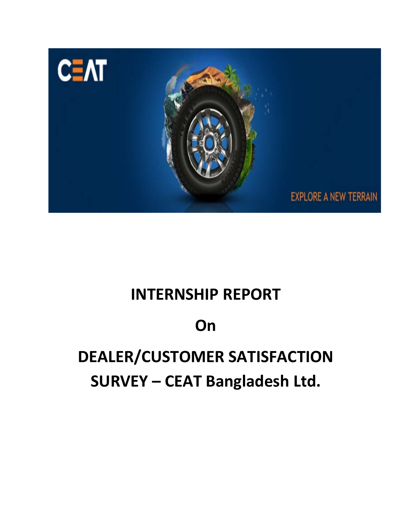

# **INTERNSHIP REPORT**

# **On**

# **DEALER/CUSTOMER SATISFACTION SURVEY – CEAT Bangladesh Ltd.**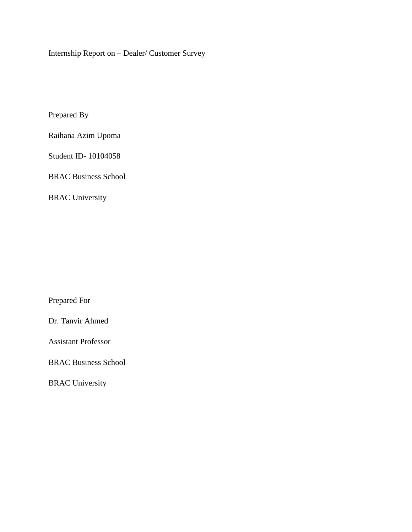Internship Report on – Dealer/ Customer Survey

Prepared By

Raihana Azim Upoma

Student ID- 10104058

BRAC Business School

BRAC University

Prepared For

Dr. Tanvir Ahmed

Assistant Professor

BRAC Business School

BRAC University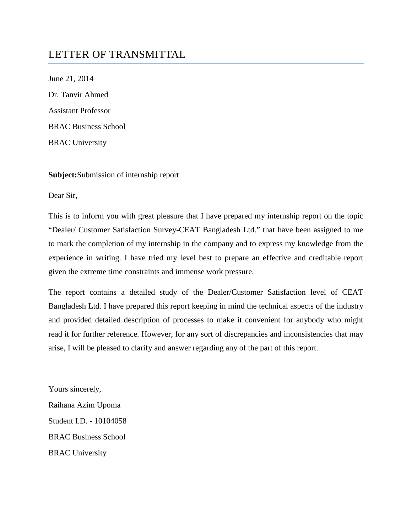## LETTER OF TRANSMITTAL

June 21, 2014 Dr. Tanvir Ahmed Assistant Professor BRAC Business School BRAC University

#### **Subject:**Submission of internship report

Dear Sir,

This is to inform you with great pleasure that I have prepared my internship report on the topic "Dealer/ Customer Satisfaction Survey-CEAT Bangladesh Ltd." that have been assigned to me to mark the completion of my internship in the company and to express my knowledge from the experience in writing. I have tried my level best to prepare an effective and creditable report given the extreme time constraints and immense work pressure.

The report contains a detailed study of the Dealer/Customer Satisfaction level of CEAT Bangladesh Ltd. I have prepared this report keeping in mind the technical aspects of the industry and provided detailed description of processes to make it convenient for anybody who might read it for further reference. However, for any sort of discrepancies and inconsistencies that may arise, I will be pleased to clarify and answer regarding any of the part of this report.

Yours sincerely, Raihana Azim Upoma Student I.D. - 10104058 BRAC Business School BRAC University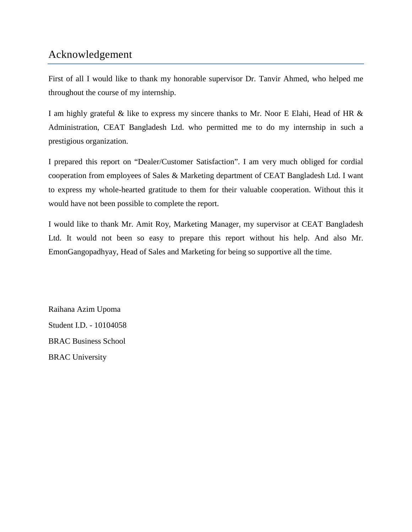## Acknowledgement

First of all I would like to thank my honorable supervisor Dr. Tanvir Ahmed, who helped me throughout the course of my internship.

I am highly grateful & like to express my sincere thanks to Mr. Noor E Elahi, Head of HR & Administration, CEAT Bangladesh Ltd. who permitted me to do my internship in such a prestigious organization.

I prepared this report on "Dealer/Customer Satisfaction". I am very much obliged for cordial cooperation from employees of Sales & Marketing department of CEAT Bangladesh Ltd. I want to express my whole-hearted gratitude to them for their valuable cooperation. Without this it would have not been possible to complete the report.

I would like to thank Mr. Amit Roy, Marketing Manager, my supervisor at CEAT Bangladesh Ltd. It would not been so easy to prepare this report without his help. And also Mr. EmonGangopadhyay, Head of Sales and Marketing for being so supportive all the time.

Raihana Azim Upoma Student I.D. - 10104058 BRAC Business School BRAC University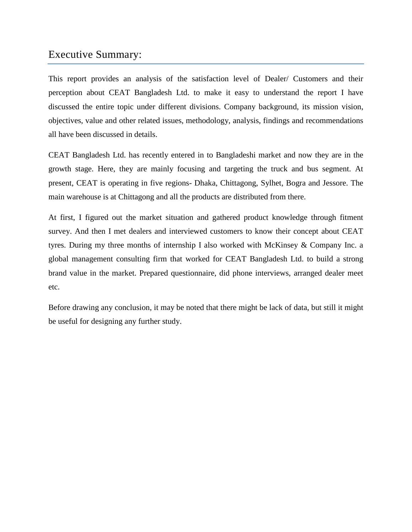## Executive Summary:

This report provides an analysis of the satisfaction level of Dealer/ Customers and their perception about CEAT Bangladesh Ltd. to make it easy to understand the report I have discussed the entire topic under different divisions. Company background, its mission vision, objectives, value and other related issues, methodology, analysis, findings and recommendations all have been discussed in details.

CEAT Bangladesh Ltd. has recently entered in to Bangladeshi market and now they are in the growth stage. Here, they are mainly focusing and targeting the truck and bus segment. At present, CEAT is operating in five regions- Dhaka, Chittagong, Sylhet, Bogra and Jessore. The main warehouse is at Chittagong and all the products are distributed from there.

At first, I figured out the market situation and gathered product knowledge through fitment survey. And then I met dealers and interviewed customers to know their concept about CEAT tyres. During my three months of internship I also worked with McKinsey & Company Inc. a global management consulting firm that worked for CEAT Bangladesh Ltd. to build a strong brand value in the market. Prepared questionnaire, did phone interviews, arranged dealer meet etc.

Before drawing any conclusion, it may be noted that there might be lack of data, but still it might be useful for designing any further study.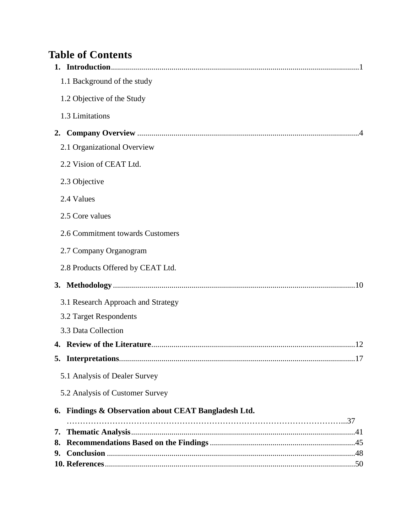## **Table of Contents**

|    | 1.1 Background of the study                          |
|----|------------------------------------------------------|
|    | 1.2 Objective of the Study                           |
|    | 1.3 Limitations                                      |
| 2. |                                                      |
|    | 2.1 Organizational Overview                          |
|    | 2.2 Vision of CEAT Ltd.                              |
|    | 2.3 Objective                                        |
|    | 2.4 Values                                           |
|    | 2.5 Core values                                      |
|    | 2.6 Commitment towards Customers                     |
|    | 2.7 Company Organogram                               |
|    | 2.8 Products Offered by CEAT Ltd.                    |
|    |                                                      |
|    | 3.1 Research Approach and Strategy                   |
|    | 3.2 Target Respondents                               |
|    | 3.3 Data Collection                                  |
|    |                                                      |
|    | 17                                                   |
|    | 5.1 Analysis of Dealer Survey                        |
|    | 5.2 Analysis of Customer Survey                      |
|    | 6. Findings & Observation about CEAT Bangladesh Ltd. |
| 7. |                                                      |
|    |                                                      |
|    |                                                      |
|    |                                                      |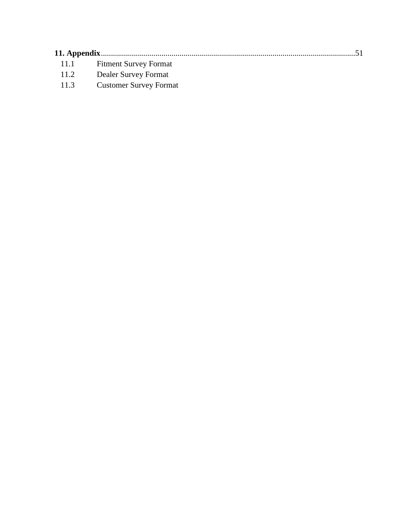|      | 11.1 Fitment Survey Format |  |
|------|----------------------------|--|
| 11.2 | Dealer Survey Format       |  |

11.3 Customer Survey Format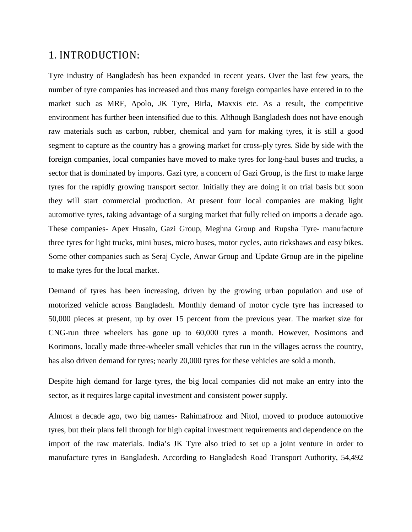## 1. INTRODUCTION:

Tyre industry of Bangladesh has been expanded in recent years. Over the last few years, the number of tyre companies has increased and thus many foreign companies have entered in to the market such as MRF, Apolo, JK Tyre, Birla, Maxxis etc. As a result, the competitive environment has further been intensified due to this. Although Bangladesh does not have enough raw materials such as carbon, rubber, chemical and yarn for making tyres, it is still a good segment to capture as the country has a growing market for cross-ply tyres. Side by side with the foreign companies, local companies have moved to make tyres for long-haul buses and trucks, a sector that is dominated by imports. Gazi tyre, a concern of Gazi Group, is the first to make large tyres for the rapidly growing transport sector. Initially they are doing it on trial basis but soon they will start commercial production. At present four local companies are making light automotive tyres, taking advantage of a surging market that fully relied on imports a decade ago. These companies- Apex Husain, Gazi Group, Meghna Group and Rupsha Tyre- manufacture three tyres for light trucks, mini buses, micro buses, motor cycles, auto rickshaws and easy bikes. Some other companies such as Seraj Cycle, Anwar Group and Update Group are in the pipeline to make tyres for the local market.

Demand of tyres has been increasing, driven by the growing urban population and use of motorized vehicle across Bangladesh. Monthly demand of motor cycle tyre has increased to 50,000 pieces at present, up by over 15 percent from the previous year. The market size for CNG-run three wheelers has gone up to 60,000 tyres a month. However, Nosimons and Korimons, locally made three-wheeler small vehicles that run in the villages across the country, has also driven demand for tyres; nearly 20,000 tyres for these vehicles are sold a month.

Despite high demand for large tyres, the big local companies did not make an entry into the sector, as it requires large capital investment and consistent power supply.

Almost a decade ago, two big names- Rahimafrooz and Nitol, moved to produce automotive tyres, but their plans fell through for high capital investment requirements and dependence on the import of the raw materials. India's JK Tyre also tried to set up a joint venture in order to manufacture tyres in Bangladesh. According to Bangladesh Road Transport Authority, 54,492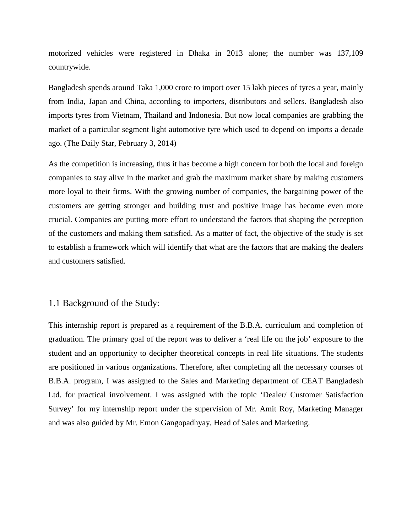motorized vehicles were registered in Dhaka in 2013 alone; the number was 137,109 countrywide.

Bangladesh spends around Taka 1,000 crore to import over 15 lakh pieces of tyres a year, mainly from India, Japan and China, according to importers, distributors and sellers. Bangladesh also imports tyres from Vietnam, Thailand and Indonesia. But now local companies are grabbing the market of a particular segment light automotive tyre which used to depend on imports a decade ago. (The Daily Star, February 3, 2014)

As the competition is increasing, thus it has become a high concern for both the local and foreign companies to stay alive in the market and grab the maximum market share by making customers more loyal to their firms. With the growing number of companies, the bargaining power of the customers are getting stronger and building trust and positive image has become even more crucial. Companies are putting more effort to understand the factors that shaping the perception of the customers and making them satisfied. As a matter of fact, the objective of the study is set to establish a framework which will identify that what are the factors that are making the dealers and customers satisfied.

#### 1.1 Background of the Study:

This internship report is prepared as a requirement of the B.B.A. curriculum and completion of graduation. The primary goal of the report was to deliver a 'real life on the job' exposure to the student and an opportunity to decipher theoretical concepts in real life situations. The students are positioned in various organizations. Therefore, after completing all the necessary courses of B.B.A. program, I was assigned to the Sales and Marketing department of CEAT Bangladesh Ltd. for practical involvement. I was assigned with the topic 'Dealer/ Customer Satisfaction Survey' for my internship report under the supervision of Mr. Amit Roy, Marketing Manager and was also guided by Mr. Emon Gangopadhyay, Head of Sales and Marketing.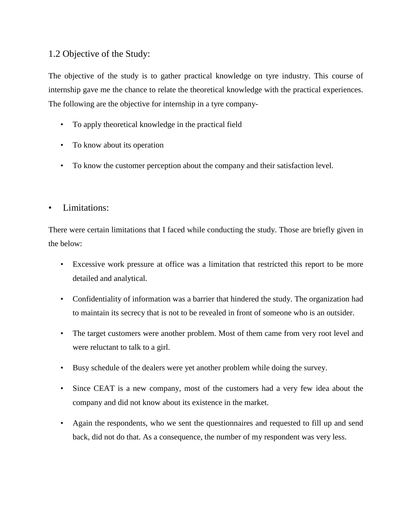## 1.2 Objective of the Study:

The objective of the study is to gather practical knowledge on tyre industry. This course of internship gave me the chance to relate the theoretical knowledge with the practical experiences. The following are the objective for internship in a tyre company-

- To apply theoretical knowledge in the practical field
- To know about its operation
- To know the customer perception about the company and their satisfaction level.

## • Limitations:

There were certain limitations that I faced while conducting the study. Those are briefly given in the below:

- Excessive work pressure at office was a limitation that restricted this report to be more detailed and analytical.
- Confidentiality of information was a barrier that hindered the study. The organization had to maintain its secrecy that is not to be revealed in front of someone who is an outsider.
- The target customers were another problem. Most of them came from very root level and were reluctant to talk to a girl.
- Busy schedule of the dealers were yet another problem while doing the survey.
- Since CEAT is a new company, most of the customers had a very few idea about the company and did not know about its existence in the market.
- Again the respondents, who we sent the questionnaires and requested to fill up and send back, did not do that. As a consequence, the number of my respondent was very less.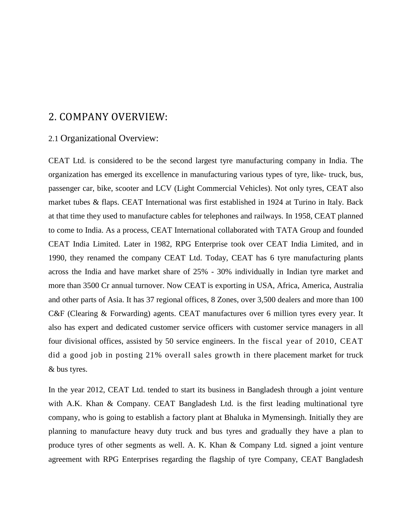## 2. COMPANY OVERVIEW:

#### 2.1 Organizational Overview:

CEAT Ltd. is considered to be the second largest tyre manufacturing company in India. The organization has emerged its excellence in manufacturing various types of tyre, like- truck, bus, passenger car, bike, scooter and LCV (Light Commercial Vehicles). Not only tyres, CEAT also market tubes & flaps. CEAT International was first established in 1924 at Turino in Italy. Back at that time they used to manufacture cables for telephones and railways. In 1958, CEAT planned to come to India. As a process, CEAT International collaborated with TATA Group and founded CEAT India Limited. Later in 1982, RPG Enterprise took over CEAT India Limited, and in 1990, they renamed the company CEAT Ltd. Today, CEAT has 6 tyre manufacturing plants across the India and have market share of 25% - 30% individually in Indian tyre market and more than 3500 Cr annual turnover. Now CEAT is exporting in USA, Africa, America, Australia and other parts of Asia. It has 37 regional offices, 8 Zones, over 3,500 dealers and more than 100 C&F (Clearing & Forwarding) agents. CEAT manufactures over 6 million tyres every year. It also has expert and dedicated customer service officers with customer service managers in all four divisional offices, assisted by 50 service engineers. In the fiscal year of 2010, CEAT did a good job in posting 21% overall sales growth in there placement market for truck & bus tyres.

In the year 2012, CEAT Ltd. tended to start its business in Bangladesh through a joint venture with A.K. Khan & Company. CEAT Bangladesh Ltd. is the first leading multinational tyre company, who is going to establish a factory plant at Bhaluka in Mymensingh. Initially they are planning to manufacture heavy duty truck and bus tyres and gradually they have a plan to produce tyres of other segments as well. A. K. Khan & Company Ltd. signed a joint venture agreement with RPG Enterprises regarding the flagship of tyre Company, CEAT Bangladesh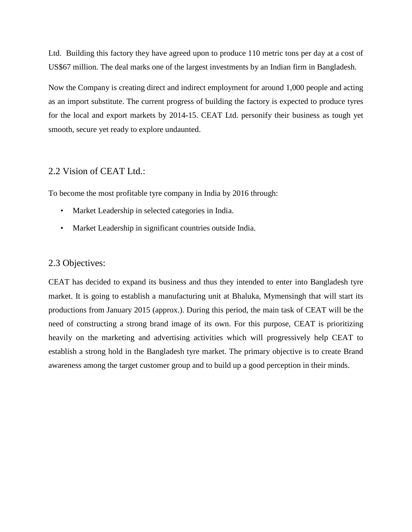Ltd. Building this factory they have agreed upon to produce 110 metric tons per day at a cost of US\$67 million. The deal marks one of the largest investments by an Indian firm in Bangladesh.

Now the Company is creating direct and indirect employment for around 1,000 people and acting as an import substitute. The current progress of building the factory is expected to produce tyres for the local and export markets by 2014-15. CEAT Ltd. personify their business as tough yet smooth, secure yet ready to explore undaunted.

### 2.2 Vision of CEAT Ltd.:

To become the most profitable tyre company in India by 2016 through:

- Market Leadership in selected categories in India.
- Market Leadership in significant countries outside India.

### 2.3 Objectives:

CEAT has decided to expand its business and thus they intended to enter into Bangladesh tyre market. It is going to establish a manufacturing unit at Bhaluka, Mymensingh that will start its productions from January 2015 (approx.). During this period, the main task of CEAT will be the need of constructing a strong brand image of its own. For this purpose, CEAT is prioritizing heavily on the marketing and advertising activities which will progressively help CEAT to establish a strong hold in the Bangladesh tyre market. The primary objective is to create Brand awareness among the target customer group and to build up a good perception in their minds.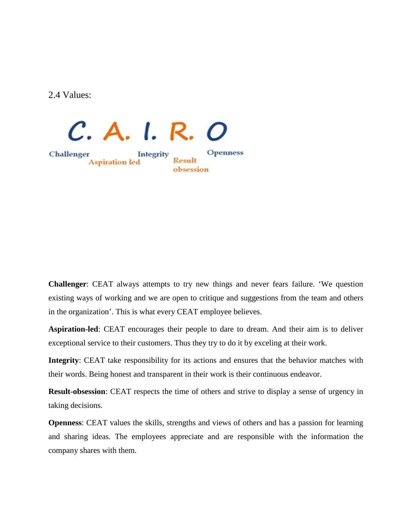2.4 Values:



**Challenger**: CEAT always attempts to try new things and never fears failure. 'We question existing ways of working and we are open to critique and suggestions from the team and others in the organization'. This is what every CEAT employee believes.

**Aspiration-led**: CEAT encourages their people to dare to dream. And their aim is to deliver exceptional service to their customers. Thus they try to do it by exceling at their work.

**Integrity**: CEAT take responsibility for its actions and ensures that the behavior matches with their words. Being honest and transparent in their work is their continuous endeavor.

**Result-obsession**: CEAT respects the time of others and strive to display a sense of urgency in taking decisions.

**Openness**: CEAT values the skills, strengths and views of others and has a passion for learning and sharing ideas. The employees appreciate and are responsible with the information the company shares with them.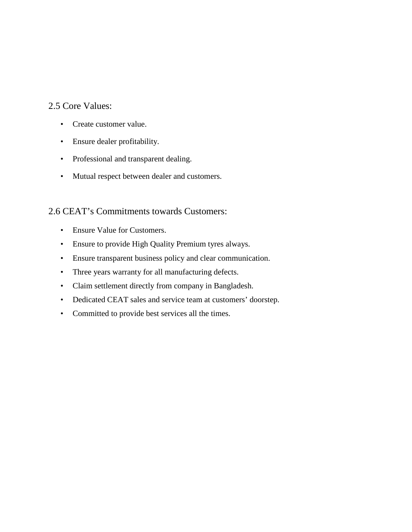## 2.5 Core Values:

- Create customer value.
- Ensure dealer profitability.
- Professional and transparent dealing.
- Mutual respect between dealer and customers.

### 2.6 CEAT's Commitments towards Customers:

- Ensure Value for Customers.
- Ensure to provide High Quality Premium tyres always.
- Ensure transparent business policy and clear communication.
- Three years warranty for all manufacturing defects.
- Claim settlement directly from company in Bangladesh.
- Dedicated CEAT sales and service team at customers' doorstep.
- Committed to provide best services all the times.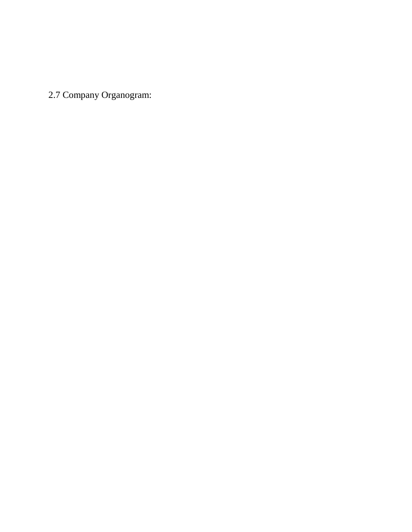2.7 Company Organogram: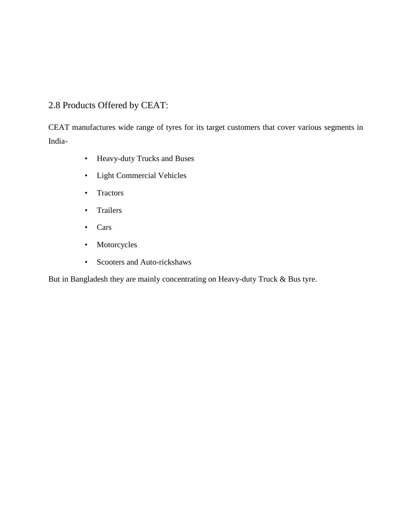## 2.8 Products Offered by CEAT:

CEAT manufactures wide range of tyres for its target customers that cover various segments in India-

- Heavy-duty Trucks and Buses
- Light Commercial Vehicles
- Tractors
- Trailers
- Cars
- Motorcycles
- Scooters and Auto-rickshaws

But in Bangladesh they are mainly concentrating on Heavy-duty Truck & Bus tyre.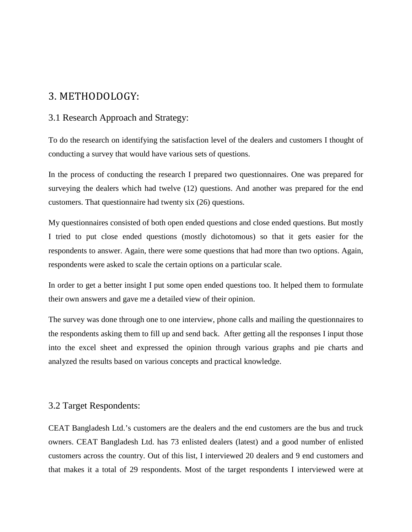## 3. METHODOLOGY:

### 3.1 Research Approach and Strategy:

To do the research on identifying the satisfaction level of the dealers and customers I thought of conducting a survey that would have various sets of questions.

In the process of conducting the research I prepared two questionnaires. One was prepared for surveying the dealers which had twelve (12) questions. And another was prepared for the end customers. That questionnaire had twenty six (26) questions.

My questionnaires consisted of both open ended questions and close ended questions. But mostly I tried to put close ended questions (mostly dichotomous) so that it gets easier for the respondents to answer. Again, there were some questions that had more than two options. Again, respondents were asked to scale the certain options on a particular scale.

In order to get a better insight I put some open ended questions too. It helped them to formulate their own answers and gave me a detailed view of their opinion.

The survey was done through one to one interview, phone calls and mailing the questionnaires to the respondents asking them to fill up and send back. After getting all the responses I input those into the excel sheet and expressed the opinion through various graphs and pie charts and analyzed the results based on various concepts and practical knowledge.

### 3.2 Target Respondents:

CEAT Bangladesh Ltd.'s customers are the dealers and the end customers are the bus and truck owners. CEAT Bangladesh Ltd. has 73 enlisted dealers (latest) and a good number of enlisted customers across the country. Out of this list, I interviewed 20 dealers and 9 end customers and that makes it a total of 29 respondents. Most of the target respondents I interviewed were at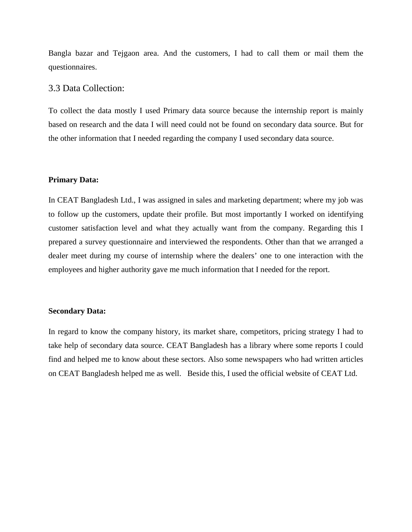Bangla bazar and Tejgaon area. And the customers, I had to call them or mail them the questionnaires.

#### 3.3 Data Collection:

To collect the data mostly I used Primary data source because the internship report is mainly based on research and the data I will need could not be found on secondary data source. But for the other information that I needed regarding the company I used secondary data source.

#### **Primary Data:**

In CEAT Bangladesh Ltd., I was assigned in sales and marketing department; where my job was to follow up the customers, update their profile. But most importantly I worked on identifying customer satisfaction level and what they actually want from the company. Regarding this I prepared a survey questionnaire and interviewed the respondents. Other than that we arranged a dealer meet during my course of internship where the dealers' one to one interaction with the employees and higher authority gave me much information that I needed for the report.

#### **Secondary Data:**

In regard to know the company history, its market share, competitors, pricing strategy I had to take help of secondary data source. CEAT Bangladesh has a library where some reports I could find and helped me to know about these sectors. Also some newspapers who had written articles on CEAT Bangladesh helped me as well. Beside this, I used the official website of CEAT Ltd.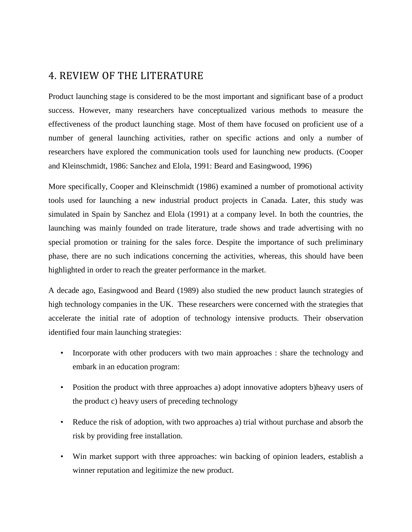## 4. REVIEW OF THE LITERATURE

Product launching stage is considered to be the most important and significant base of a product success. However, many researchers have conceptualized various methods to measure the effectiveness of the product launching stage. Most of them have focused on proficient use of a number of general launching activities, rather on specific actions and only a number of researchers have explored the communication tools used for launching new products. (Cooper and Kleinschmidt, 1986: Sanchez and Elola, 1991: Beard and Easingwood, 1996)

More specifically, Cooper and Kleinschmidt (1986) examined a number of promotional activity tools used for launching a new industrial product projects in Canada. Later, this study was simulated in Spain by Sanchez and Elola (1991) at a company level. In both the countries, the launching was mainly founded on trade literature, trade shows and trade advertising with no special promotion or training for the sales force. Despite the importance of such preliminary phase, there are no such indications concerning the activities, whereas, this should have been highlighted in order to reach the greater performance in the market.

A decade ago, Easingwood and Beard (1989) also studied the new product launch strategies of high technology companies in the UK. These researchers were concerned with the strategies that accelerate the initial rate of adoption of technology intensive products. Their observation identified four main launching strategies:

- Incorporate with other producers with two main approaches : share the technology and embark in an education program:
- Position the product with three approaches a) adopt innovative adopters b)heavy users of the product c) heavy users of preceding technology
- Reduce the risk of adoption, with two approaches a) trial without purchase and absorb the risk by providing free installation.
- Win market support with three approaches: win backing of opinion leaders, establish a winner reputation and legitimize the new product.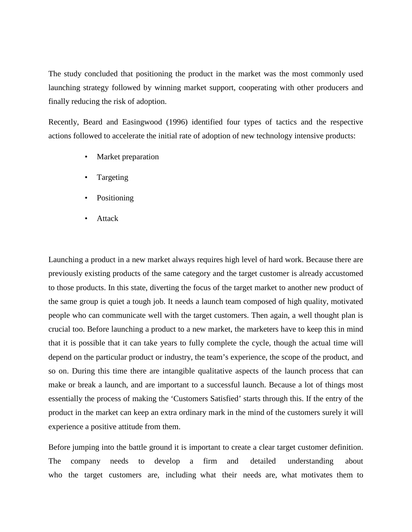The study concluded that positioning the product in the market was the most commonly used launching strategy followed by winning market support, cooperating with other producers and finally reducing the risk of adoption.

Recently, Beard and Easingwood (1996) identified four types of tactics and the respective actions followed to accelerate the initial rate of adoption of new technology intensive products:

- Market preparation
- Targeting
- Positioning
- Attack

Launching a product in a new market always requires high level of hard work. Because there are previously existing products of the same category and the target customer is already accustomed to those products. In this state, diverting the focus of the target market to another new product of the same group is quiet a tough job. It needs a launch team composed of high quality, motivated people who can communicate well with the target customers. Then again, a well thought plan is crucial too. Before launching a product to a new market, the marketers have to keep this in mind that it is possible that it can take years to fully complete the cycle, though the actual time will depend on the particular product or industry, the team's experience, the scope of the product, and so on. During this time there are intangible qualitative aspects of the launch process that can make or break a launch, and are important to a successful launch. Because a lot of things most essentially the process of making the 'Customers Satisfied' starts through this. If the entry of the product in the market can keep an extra ordinary mark in the mind of the customers surely it will experience a positive attitude from them.

Before jumping into the battle ground it is important to create a clear target customer definition. The company needs to develop a firm and detailed understanding about who the target customers are, including what their needs are, what motivates them to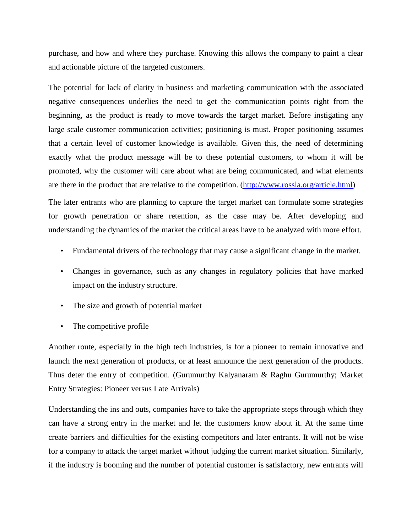purchase, and how and where they purchase. Knowing this allows the company to paint a clear and actionable picture of the targeted customers.

The potential for lack of clarity in business and marketing communication with the associated negative consequences underlies the need to get the communication points right from the beginning, as the product is ready to move towards the target market. Before instigating any large scale customer communication activities; positioning is must. Proper positioning assumes that a certain level of customer knowledge is available. Given this, the need of determining exactly what the product message will be to these potential customers, to whom it will be promoted, why the customer will care about what are being communicated, and what elements are there in the product that are relative to the competition. [\(http://www.rossla.org/article.html\)](http://www.rossla.org/article.html)

The later entrants who are planning to capture the target market can formulate some strategies for growth penetration or share retention, as the case may be. After developing and understanding the dynamics of the market the critical areas have to be analyzed with more effort.

- Fundamental drivers of the technology that may cause a significant change in the market.
- Changes in governance, such as any changes in regulatory policies that have marked impact on the industry structure.
- The size and growth of potential market
- The competitive profile

Another route, especially in the high tech industries, is for a pioneer to remain innovative and launch the next generation of products, or at least announce the next generation of the products. Thus deter the entry of competition. (Gurumurthy Kalyanaram & Raghu Gurumurthy; Market Entry Strategies: Pioneer versus Late Arrivals)

Understanding the ins and outs, companies have to take the appropriate steps through which they can have a strong entry in the market and let the customers know about it. At the same time create barriers and difficulties for the existing competitors and later entrants. It will not be wise for a company to attack the target market without judging the current market situation. Similarly, if the industry is booming and the number of potential customer is satisfactory, new entrants will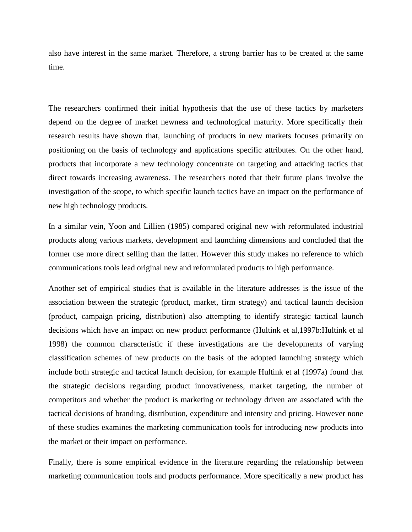also have interest in the same market. Therefore, a strong barrier has to be created at the same time.

The researchers confirmed their initial hypothesis that the use of these tactics by marketers depend on the degree of market newness and technological maturity. More specifically their research results have shown that, launching of products in new markets focuses primarily on positioning on the basis of technology and applications specific attributes. On the other hand, products that incorporate a new technology concentrate on targeting and attacking tactics that direct towards increasing awareness. The researchers noted that their future plans involve the investigation of the scope, to which specific launch tactics have an impact on the performance of new high technology products.

In a similar vein, Yoon and Lillien (1985) compared original new with reformulated industrial products along various markets, development and launching dimensions and concluded that the former use more direct selling than the latter. However this study makes no reference to which communications tools lead original new and reformulated products to high performance.

Another set of empirical studies that is available in the literature addresses is the issue of the association between the strategic (product, market, firm strategy) and tactical launch decision (product, campaign pricing, distribution) also attempting to identify strategic tactical launch decisions which have an impact on new product performance (Hultink et al,1997b:Hultink et al 1998) the common characteristic if these investigations are the developments of varying classification schemes of new products on the basis of the adopted launching strategy which include both strategic and tactical launch decision, for example Hultink et al (1997a) found that the strategic decisions regarding product innovativeness, market targeting, the number of competitors and whether the product is marketing or technology driven are associated with the tactical decisions of branding, distribution, expenditure and intensity and pricing. However none of these studies examines the marketing communication tools for introducing new products into the market or their impact on performance.

Finally, there is some empirical evidence in the literature regarding the relationship between marketing communication tools and products performance. More specifically a new product has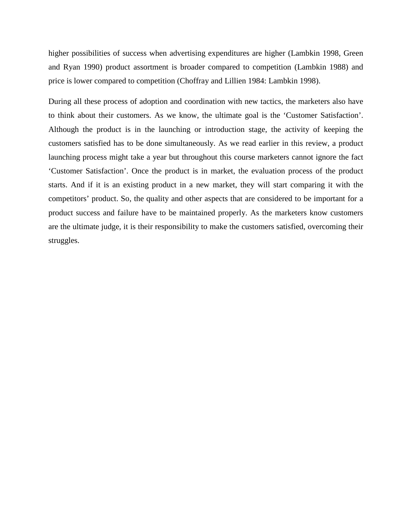higher possibilities of success when advertising expenditures are higher (Lambkin 1998, Green and Ryan 1990) product assortment is broader compared to competition (Lambkin 1988) and price is lower compared to competition (Choffray and Lillien 1984: Lambkin 1998).

During all these process of adoption and coordination with new tactics, the marketers also have to think about their customers. As we know, the ultimate goal is the 'Customer Satisfaction'. Although the product is in the launching or introduction stage, the activity of keeping the customers satisfied has to be done simultaneously. As we read earlier in this review, a product launching process might take a year but throughout this course marketers cannot ignore the fact 'Customer Satisfaction'. Once the product is in market, the evaluation process of the product starts. And if it is an existing product in a new market, they will start comparing it with the competitors' product. So, the quality and other aspects that are considered to be important for a product success and failure have to be maintained properly. As the marketers know customers are the ultimate judge, it is their responsibility to make the customers satisfied, overcoming their struggles.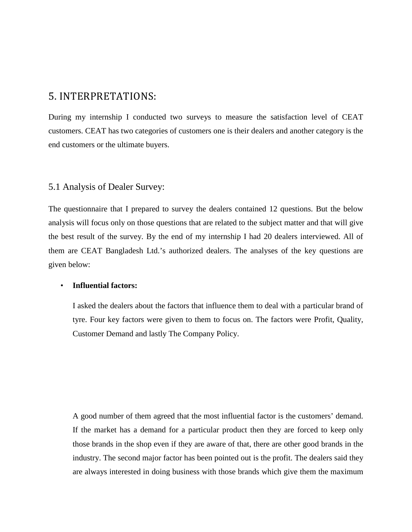## 5. INTERPRETATIONS:

During my internship I conducted two surveys to measure the satisfaction level of CEAT customers. CEAT has two categories of customers one is their dealers and another category is the end customers or the ultimate buyers.

#### 5.1 Analysis of Dealer Survey:

The questionnaire that I prepared to survey the dealers contained 12 questions. But the below analysis will focus only on those questions that are related to the subject matter and that will give the best result of the survey. By the end of my internship I had 20 dealers interviewed. All of them are CEAT Bangladesh Ltd.'s authorized dealers. The analyses of the key questions are given below:

#### • **Influential factors:**

I asked the dealers about the factors that influence them to deal with a particular brand of tyre. Four key factors were given to them to focus on. The factors were Profit, Quality, Customer Demand and lastly The Company Policy.

A good number of them agreed that the most influential factor is the customers' demand. If the market has a demand for a particular product then they are forced to keep only those brands in the shop even if they are aware of that, there are other good brands in the industry. The second major factor has been pointed out is the profit. The dealers said they are always interested in doing business with those brands which give them the maximum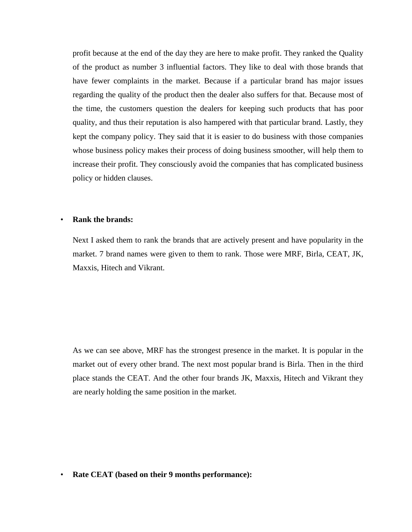profit because at the end of the day they are here to make profit. They ranked the Quality of the product as number 3 influential factors. They like to deal with those brands that have fewer complaints in the market. Because if a particular brand has major issues regarding the quality of the product then the dealer also suffers for that. Because most of the time, the customers question the dealers for keeping such products that has poor quality, and thus their reputation is also hampered with that particular brand. Lastly, they kept the company policy. They said that it is easier to do business with those companies whose business policy makes their process of doing business smoother, will help them to increase their profit. They consciously avoid the companies that has complicated business policy or hidden clauses.

#### • **Rank the brands:**

Next I asked them to rank the brands that are actively present and have popularity in the market. 7 brand names were given to them to rank. Those were MRF, Birla, CEAT, JK, Maxxis, Hitech and Vikrant.

As we can see above, MRF has the strongest presence in the market. It is popular in the market out of every other brand. The next most popular brand is Birla. Then in the third place stands the CEAT. And the other four brands JK, Maxxis, Hitech and Vikrant they are nearly holding the same position in the market.

• **Rate CEAT (based on their 9 months performance):**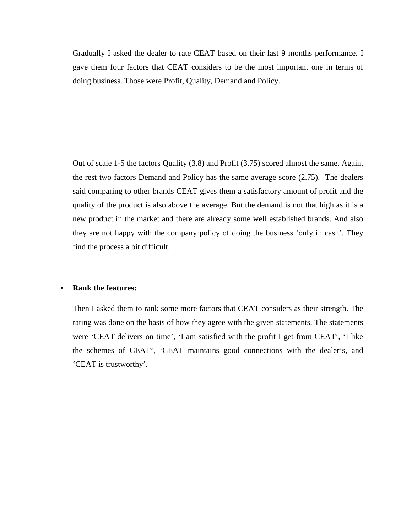Gradually I asked the dealer to rate CEAT based on their last 9 months performance. I gave them four factors that CEAT considers to be the most important one in terms of doing business. Those were Profit, Quality, Demand and Policy.

Out of scale 1-5 the factors Quality (3.8) and Profit (3.75) scored almost the same. Again, the rest two factors Demand and Policy has the same average score (2.75). The dealers said comparing to other brands CEAT gives them a satisfactory amount of profit and the quality of the product is also above the average. But the demand is not that high as it is a new product in the market and there are already some well established brands. And also they are not happy with the company policy of doing the business 'only in cash'. They find the process a bit difficult.

#### • **Rank the features:**

Then I asked them to rank some more factors that CEAT considers as their strength. The rating was done on the basis of how they agree with the given statements. The statements were 'CEAT delivers on time', 'I am satisfied with the profit I get from CEAT', 'I like the schemes of CEAT', 'CEAT maintains good connections with the dealer's, and 'CEAT is trustworthy'.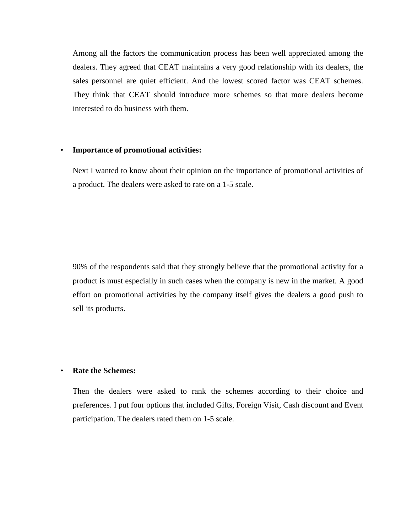Among all the factors the communication process has been well appreciated among the dealers. They agreed that CEAT maintains a very good relationship with its dealers, the sales personnel are quiet efficient. And the lowest scored factor was CEAT schemes. They think that CEAT should introduce more schemes so that more dealers become interested to do business with them.

#### • **Importance of promotional activities:**

Next I wanted to know about their opinion on the importance of promotional activities of a product. The dealers were asked to rate on a 1-5 scale.

90% of the respondents said that they strongly believe that the promotional activity for a product is must especially in such cases when the company is new in the market. A good effort on promotional activities by the company itself gives the dealers a good push to sell its products.

#### • **Rate the Schemes:**

Then the dealers were asked to rank the schemes according to their choice and preferences. I put four options that included Gifts, Foreign Visit, Cash discount and Event participation. The dealers rated them on 1-5 scale.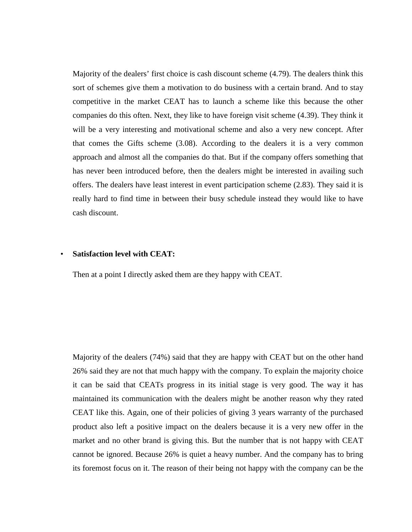Majority of the dealers' first choice is cash discount scheme (4.79). The dealers think this sort of schemes give them a motivation to do business with a certain brand. And to stay competitive in the market CEAT has to launch a scheme like this because the other companies do this often. Next, they like to have foreign visit scheme (4.39). They think it will be a very interesting and motivational scheme and also a very new concept. After that comes the Gifts scheme (3.08). According to the dealers it is a very common approach and almost all the companies do that. But if the company offers something that has never been introduced before, then the dealers might be interested in availing such offers. The dealers have least interest in event participation scheme (2.83). They said it is really hard to find time in between their busy schedule instead they would like to have cash discount.

#### • **Satisfaction level with CEAT:**

Then at a point I directly asked them are they happy with CEAT.

Majority of the dealers (74%) said that they are happy with CEAT but on the other hand 26% said they are not that much happy with the company. To explain the majority choice it can be said that CEATs progress in its initial stage is very good. The way it has maintained its communication with the dealers might be another reason why they rated CEAT like this. Again, one of their policies of giving 3 years warranty of the purchased product also left a positive impact on the dealers because it is a very new offer in the market and no other brand is giving this. But the number that is not happy with CEAT cannot be ignored. Because 26% is quiet a heavy number. And the company has to bring its foremost focus on it. The reason of their being not happy with the company can be the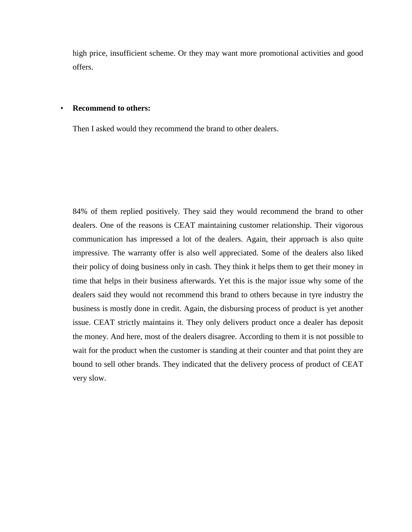high price, insufficient scheme. Or they may want more promotional activities and good offers.

#### • **Recommend to others:**

Then I asked would they recommend the brand to other dealers.

84% of them replied positively. They said they would recommend the brand to other dealers. One of the reasons is CEAT maintaining customer relationship. Their vigorous communication has impressed a lot of the dealers. Again, their approach is also quite impressive. The warranty offer is also well appreciated. Some of the dealers also liked their policy of doing business only in cash. They think it helps them to get their money in time that helps in their business afterwards. Yet this is the major issue why some of the dealers said they would not recommend this brand to others because in tyre industry the business is mostly done in credit. Again, the disbursing process of product is yet another issue. CEAT strictly maintains it. They only delivers product once a dealer has deposit the money. And here, most of the dealers disagree. According to them it is not possible to wait for the product when the customer is standing at their counter and that point they are bound to sell other brands. They indicated that the delivery process of product of CEAT very slow.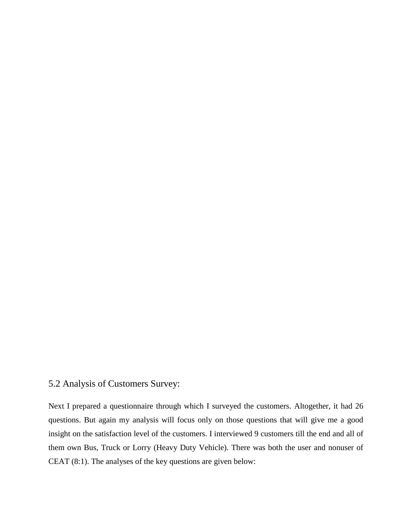### 5.2 Analysis of Customers Survey:

Next I prepared a questionnaire through which I surveyed the customers. Altogether, it had 26 questions. But again my analysis will focus only on those questions that will give me a good insight on the satisfaction level of the customers. I interviewed 9 customers till the end and all of them own Bus, Truck or Lorry (Heavy Duty Vehicle). There was both the user and nonuser of CEAT (8:1). The analyses of the key questions are given below: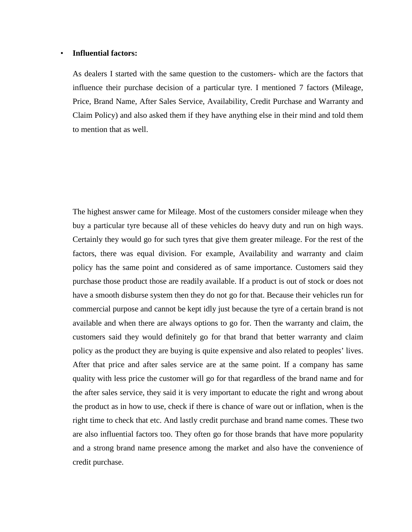#### • **Influential factors:**

As dealers I started with the same question to the customers- which are the factors that influence their purchase decision of a particular tyre. I mentioned 7 factors (Mileage, Price, Brand Name, After Sales Service, Availability, Credit Purchase and Warranty and Claim Policy) and also asked them if they have anything else in their mind and told them to mention that as well.

The highest answer came for Mileage. Most of the customers consider mileage when they buy a particular tyre because all of these vehicles do heavy duty and run on high ways. Certainly they would go for such tyres that give them greater mileage. For the rest of the factors, there was equal division. For example, Availability and warranty and claim policy has the same point and considered as of same importance. Customers said they purchase those product those are readily available. If a product is out of stock or does not have a smooth disburse system then they do not go for that. Because their vehicles run for commercial purpose and cannot be kept idly just because the tyre of a certain brand is not available and when there are always options to go for. Then the warranty and claim, the customers said they would definitely go for that brand that better warranty and claim policy as the product they are buying is quite expensive and also related to peoples' lives. After that price and after sales service are at the same point. If a company has same quality with less price the customer will go for that regardless of the brand name and for the after sales service, they said it is very important to educate the right and wrong about the product as in how to use, check if there is chance of ware out or inflation, when is the right time to check that etc. And lastly credit purchase and brand name comes. These two are also influential factors too. They often go for those brands that have more popularity and a strong brand name presence among the market and also have the convenience of credit purchase.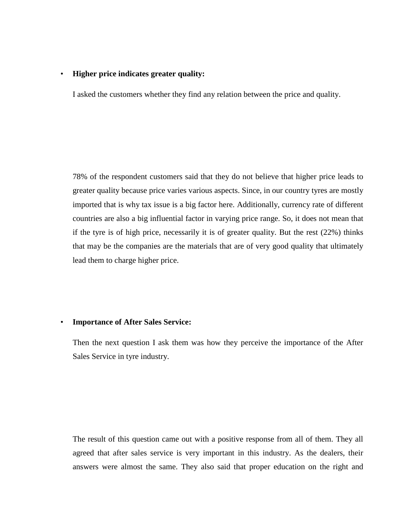#### • **Higher price indicates greater quality:**

I asked the customers whether they find any relation between the price and quality.

78% of the respondent customers said that they do not believe that higher price leads to greater quality because price varies various aspects. Since, in our country tyres are mostly imported that is why tax issue is a big factor here. Additionally, currency rate of different countries are also a big influential factor in varying price range. So, it does not mean that if the tyre is of high price, necessarily it is of greater quality. But the rest (22%) thinks that may be the companies are the materials that are of very good quality that ultimately lead them to charge higher price.

#### • **Importance of After Sales Service:**

Then the next question I ask them was how they perceive the importance of the After Sales Service in tyre industry.

The result of this question came out with a positive response from all of them. They all agreed that after sales service is very important in this industry. As the dealers, their answers were almost the same. They also said that proper education on the right and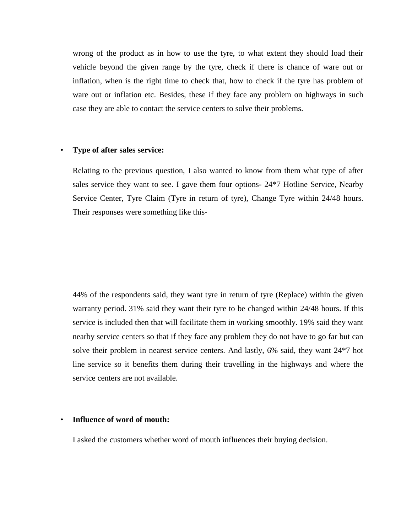wrong of the product as in how to use the tyre, to what extent they should load their vehicle beyond the given range by the tyre, check if there is chance of ware out or inflation, when is the right time to check that, how to check if the tyre has problem of ware out or inflation etc. Besides, these if they face any problem on highways in such case they are able to contact the service centers to solve their problems.

#### • **Type of after sales service:**

Relating to the previous question, I also wanted to know from them what type of after sales service they want to see. I gave them four options- 24\*7 Hotline Service, Nearby Service Center, Tyre Claim (Tyre in return of tyre), Change Tyre within 24/48 hours. Their responses were something like this-

44% of the respondents said, they want tyre in return of tyre (Replace) within the given warranty period. 31% said they want their tyre to be changed within 24/48 hours. If this service is included then that will facilitate them in working smoothly. 19% said they want nearby service centers so that if they face any problem they do not have to go far but can solve their problem in nearest service centers. And lastly, 6% said, they want 24\*7 hot line service so it benefits them during their travelling in the highways and where the service centers are not available.

#### • **Influence of word of mouth:**

I asked the customers whether word of mouth influences their buying decision.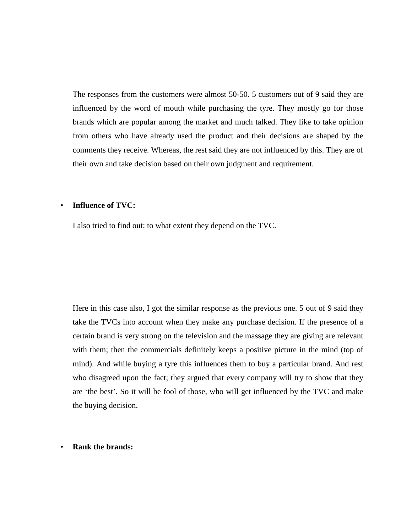The responses from the customers were almost 50-50. 5 customers out of 9 said they are influenced by the word of mouth while purchasing the tyre. They mostly go for those brands which are popular among the market and much talked. They like to take opinion from others who have already used the product and their decisions are shaped by the comments they receive. Whereas, the rest said they are not influenced by this. They are of their own and take decision based on their own judgment and requirement.

#### • **Influence of TVC:**

I also tried to find out; to what extent they depend on the TVC.

Here in this case also, I got the similar response as the previous one. 5 out of 9 said they take the TVCs into account when they make any purchase decision. If the presence of a certain brand is very strong on the television and the massage they are giving are relevant with them; then the commercials definitely keeps a positive picture in the mind (top of mind). And while buying a tyre this influences them to buy a particular brand. And rest who disagreed upon the fact; they argued that every company will try to show that they are 'the best'. So it will be fool of those, who will get influenced by the TVC and make the buying decision.

• **Rank the brands:**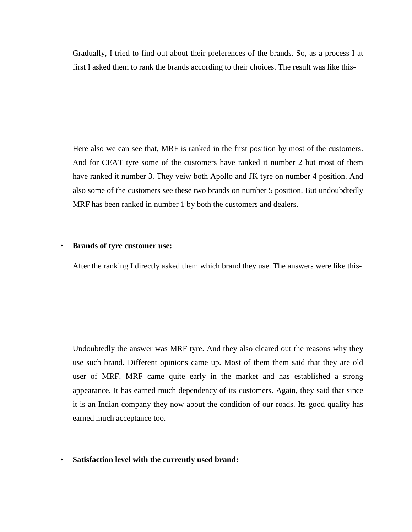Gradually, I tried to find out about their preferences of the brands. So, as a process I at first I asked them to rank the brands according to their choices. The result was like this-

Here also we can see that, MRF is ranked in the first position by most of the customers. And for CEAT tyre some of the customers have ranked it number 2 but most of them have ranked it number 3. They veiw both Apollo and JK tyre on number 4 position. And also some of the customers see these two brands on number 5 position. But undoubdtedly MRF has been ranked in number 1 by both the customers and dealers.

#### • **Brands of tyre customer use:**

After the ranking I directly asked them which brand they use. The answers were like this-

Undoubtedly the answer was MRF tyre. And they also cleared out the reasons why they use such brand. Different opinions came up. Most of them them said that they are old user of MRF. MRF came quite early in the market and has established a strong appearance. It has earned much dependency of its customers. Again, they said that since it is an Indian company they now about the condition of our roads. Its good quality has earned much acceptance too.

• **Satisfaction level with the currently used brand:**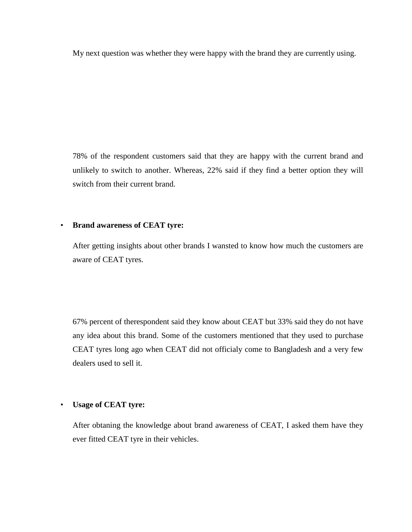My next question was whether they were happy with the brand they are currently using.

78% of the respondent customers said that they are happy with the current brand and unlikely to switch to another. Whereas, 22% said if they find a better option they will switch from their current brand.

#### • **Brand awareness of CEAT tyre:**

After getting insights about other brands I wansted to know how much the customers are aware of CEAT tyres.

67% percent of therespondent said they know about CEAT but 33% said they do not have any idea about this brand. Some of the customers mentioned that they used to purchase CEAT tyres long ago when CEAT did not officialy come to Bangladesh and a very few dealers used to sell it.

#### • **Usage of CEAT tyre:**

After obtaning the knowledge about brand awareness of CEAT, I asked them have they ever fitted CEAT tyre in their vehicles.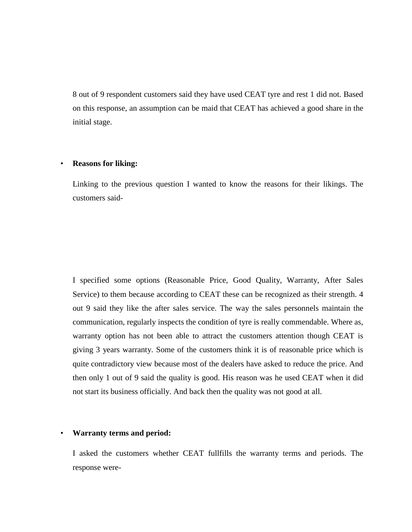8 out of 9 respondent customers said they have used CEAT tyre and rest 1 did not. Based on this response, an assumption can be maid that CEAT has achieved a good share in the initial stage.

#### • **Reasons for liking:**

Linking to the previous question I wanted to know the reasons for their likings. The customers said-

I specified some options (Reasonable Price, Good Quality, Warranty, After Sales Service) to them because according to CEAT these can be recognized as their strength. 4 out 9 said they like the after sales service. The way the sales personnels maintain the communication, regularly inspects the condition of tyre is really commendable. Where as, warranty option has not been able to attract the customers attention though CEAT is giving 3 years warranty. Some of the customers think it is of reasonable price which is quite contradictory view because most of the dealers have asked to reduce the price. And then only 1 out of 9 said the quality is good. His reason was he used CEAT when it did not start its business officially. And back then the quality was not good at all.

#### • **Warranty terms and period:**

I asked the customers whether CEAT fullfills the warranty terms and periods. The response were-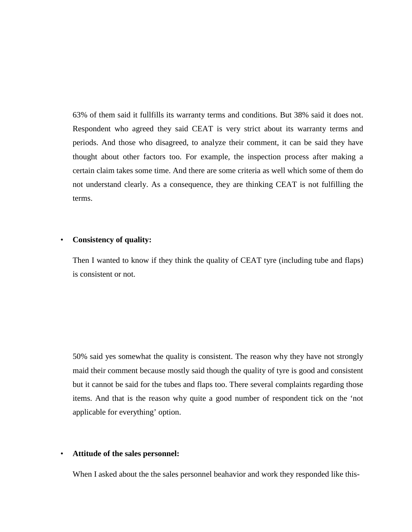63% of them said it fullfills its warranty terms and conditions. But 38% said it does not. Respondent who agreed they said CEAT is very strict about its warranty terms and periods. And those who disagreed, to analyze their comment, it can be said they have thought about other factors too. For example, the inspection process after making a certain claim takes some time. And there are some criteria as well which some of them do not understand clearly. As a consequence, they are thinking CEAT is not fulfilling the terms.

#### • **Consistency of quality:**

Then I wanted to know if they think the quality of CEAT tyre (including tube and flaps) is consistent or not.

50% said yes somewhat the quality is consistent. The reason why they have not strongly maid their comment because mostly said though the quality of tyre is good and consistent but it cannot be said for the tubes and flaps too. There several complaints regarding those items. And that is the reason why quite a good number of respondent tick on the 'not applicable for everything' option.

#### • **Attitude of the sales personnel:**

When I asked about the the sales personnel beahavior and work they responded like this-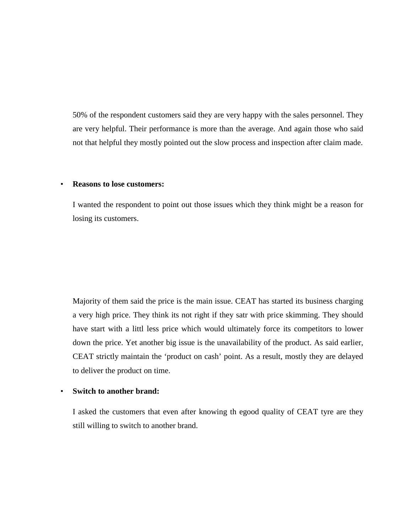50% of the respondent customers said they are very happy with the sales personnel. They are very helpful. Their performance is more than the average. And again those who said not that helpful they mostly pointed out the slow process and inspection after claim made.

#### • **Reasons to lose customers:**

I wanted the respondent to point out those issues which they think might be a reason for losing its customers.

Majority of them said the price is the main issue. CEAT has started its business charging a very high price. They think its not right if they satr with price skimming. They should have start with a littl less price which would ultimately force its competitors to lower down the price. Yet another big issue is the unavailability of the product. As said earlier, CEAT strictly maintain the 'product on cash' point. As a result, mostly they are delayed to deliver the product on time.

#### • **Switch to another brand:**

I asked the customers that even after knowing th egood quality of CEAT tyre are they still willing to switch to another brand.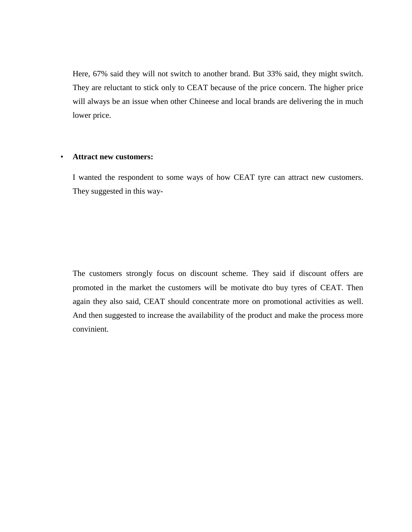Here, 67% said they will not switch to another brand. But 33% said, they might switch. They are reluctant to stick only to CEAT because of the price concern. The higher price will always be an issue when other Chineese and local brands are delivering the in much lower price.

#### • **Attract new customers:**

I wanted the respondent to some ways of how CEAT tyre can attract new customers. They suggested in this way-

The customers strongly focus on discount scheme. They said if discount offers are promoted in the market the customers will be motivate dto buy tyres of CEAT. Then again they also said, CEAT should concentrate more on promotional activities as well. And then suggested to increase the availability of the product and make the process more convinient.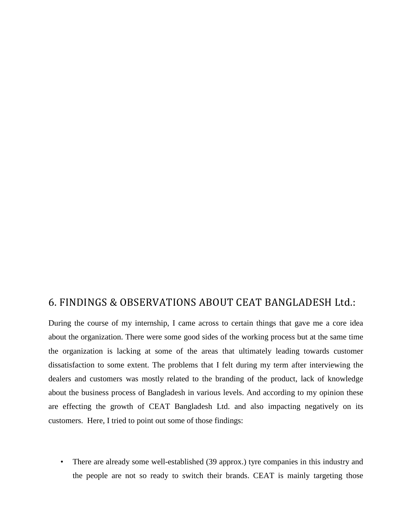## 6. FINDINGS & OBSERVATIONS ABOUT CEAT BANGLADESH Ltd.:

During the course of my internship, I came across to certain things that gave me a core idea about the organization. There were some good sides of the working process but at the same time the organization is lacking at some of the areas that ultimately leading towards customer dissatisfaction to some extent. The problems that I felt during my term after interviewing the dealers and customers was mostly related to the branding of the product, lack of knowledge about the business process of Bangladesh in various levels. And according to my opinion these are effecting the growth of CEAT Bangladesh Ltd. and also impacting negatively on its customers. Here, I tried to point out some of those findings:

• There are already some well-established (39 approx.) tyre companies in this industry and the people are not so ready to switch their brands. CEAT is mainly targeting those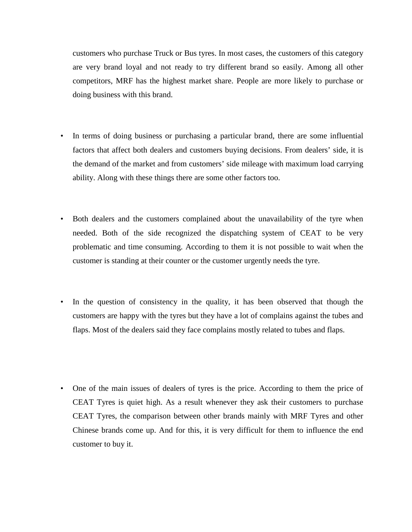customers who purchase Truck or Bus tyres. In most cases, the customers of this category are very brand loyal and not ready to try different brand so easily. Among all other competitors, MRF has the highest market share. People are more likely to purchase or doing business with this brand.

- In terms of doing business or purchasing a particular brand, there are some influential factors that affect both dealers and customers buying decisions. From dealers' side, it is the demand of the market and from customers' side mileage with maximum load carrying ability. Along with these things there are some other factors too.
- Both dealers and the customers complained about the unavailability of the tyre when needed. Both of the side recognized the dispatching system of CEAT to be very problematic and time consuming. According to them it is not possible to wait when the customer is standing at their counter or the customer urgently needs the tyre.
- In the question of consistency in the quality, it has been observed that though the customers are happy with the tyres but they have a lot of complains against the tubes and flaps. Most of the dealers said they face complains mostly related to tubes and flaps.
- One of the main issues of dealers of tyres is the price. According to them the price of CEAT Tyres is quiet high. As a result whenever they ask their customers to purchase CEAT Tyres, the comparison between other brands mainly with MRF Tyres and other Chinese brands come up. And for this, it is very difficult for them to influence the end customer to buy it.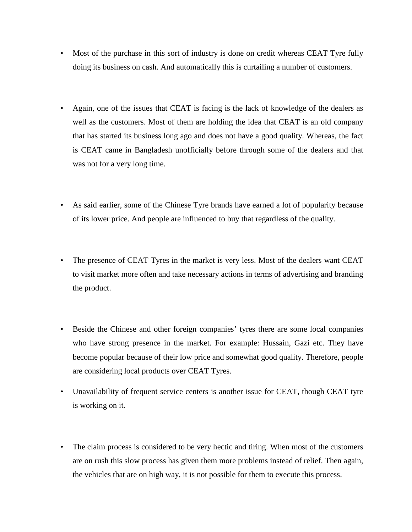- Most of the purchase in this sort of industry is done on credit whereas CEAT Tyre fully doing its business on cash. And automatically this is curtailing a number of customers.
- Again, one of the issues that CEAT is facing is the lack of knowledge of the dealers as well as the customers. Most of them are holding the idea that CEAT is an old company that has started its business long ago and does not have a good quality. Whereas, the fact is CEAT came in Bangladesh unofficially before through some of the dealers and that was not for a very long time.
- As said earlier, some of the Chinese Tyre brands have earned a lot of popularity because of its lower price. And people are influenced to buy that regardless of the quality.
- The presence of CEAT Tyres in the market is very less. Most of the dealers want CEAT to visit market more often and take necessary actions in terms of advertising and branding the product.
- Beside the Chinese and other foreign companies' tyres there are some local companies who have strong presence in the market. For example: Hussain, Gazi etc. They have become popular because of their low price and somewhat good quality. Therefore, people are considering local products over CEAT Tyres.
- Unavailability of frequent service centers is another issue for CEAT, though CEAT tyre is working on it.
- The claim process is considered to be very hectic and tiring. When most of the customers are on rush this slow process has given them more problems instead of relief. Then again, the vehicles that are on high way, it is not possible for them to execute this process.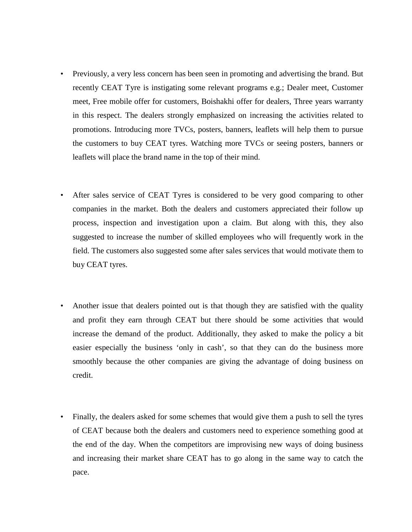- Previously, a very less concern has been seen in promoting and advertising the brand. But recently CEAT Tyre is instigating some relevant programs e.g.; Dealer meet, Customer meet, Free mobile offer for customers, Boishakhi offer for dealers, Three years warranty in this respect. The dealers strongly emphasized on increasing the activities related to promotions. Introducing more TVCs, posters, banners, leaflets will help them to pursue the customers to buy CEAT tyres. Watching more TVCs or seeing posters, banners or leaflets will place the brand name in the top of their mind.
- After sales service of CEAT Tyres is considered to be very good comparing to other companies in the market. Both the dealers and customers appreciated their follow up process, inspection and investigation upon a claim. But along with this, they also suggested to increase the number of skilled employees who will frequently work in the field. The customers also suggested some after sales services that would motivate them to buy CEAT tyres.
- Another issue that dealers pointed out is that though they are satisfied with the quality and profit they earn through CEAT but there should be some activities that would increase the demand of the product. Additionally, they asked to make the policy a bit easier especially the business 'only in cash', so that they can do the business more smoothly because the other companies are giving the advantage of doing business on credit.
- Finally, the dealers asked for some schemes that would give them a push to sell the tyres of CEAT because both the dealers and customers need to experience something good at the end of the day. When the competitors are improvising new ways of doing business and increasing their market share CEAT has to go along in the same way to catch the pace.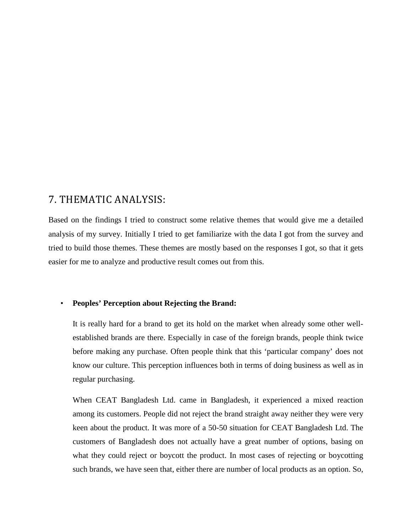## 7. THEMATIC ANALYSIS:

Based on the findings I tried to construct some relative themes that would give me a detailed analysis of my survey. Initially I tried to get familiarize with the data I got from the survey and tried to build those themes. These themes are mostly based on the responses I got, so that it gets easier for me to analyze and productive result comes out from this.

#### • **Peoples' Perception about Rejecting the Brand:**

It is really hard for a brand to get its hold on the market when already some other wellestablished brands are there. Especially in case of the foreign brands, people think twice before making any purchase. Often people think that this 'particular company' does not know our culture. This perception influences both in terms of doing business as well as in regular purchasing.

When CEAT Bangladesh Ltd. came in Bangladesh, it experienced a mixed reaction among its customers. People did not reject the brand straight away neither they were very keen about the product. It was more of a 50-50 situation for CEAT Bangladesh Ltd. The customers of Bangladesh does not actually have a great number of options, basing on what they could reject or boycott the product. In most cases of rejecting or boycotting such brands, we have seen that, either there are number of local products as an option. So,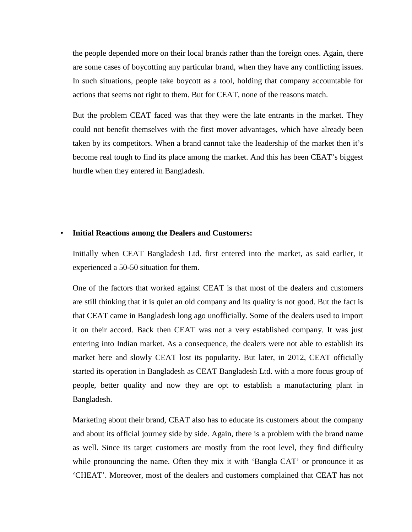the people depended more on their local brands rather than the foreign ones. Again, there are some cases of boycotting any particular brand, when they have any conflicting issues. In such situations, people take boycott as a tool, holding that company accountable for actions that seems not right to them. But for CEAT, none of the reasons match.

But the problem CEAT faced was that they were the late entrants in the market. They could not benefit themselves with the first mover advantages, which have already been taken by its competitors. When a brand cannot take the leadership of the market then it's become real tough to find its place among the market. And this has been CEAT's biggest hurdle when they entered in Bangladesh.

#### • **Initial Reactions among the Dealers and Customers:**

Initially when CEAT Bangladesh Ltd. first entered into the market, as said earlier, it experienced a 50-50 situation for them.

One of the factors that worked against CEAT is that most of the dealers and customers are still thinking that it is quiet an old company and its quality is not good. But the fact is that CEAT came in Bangladesh long ago unofficially. Some of the dealers used to import it on their accord. Back then CEAT was not a very established company. It was just entering into Indian market. As a consequence, the dealers were not able to establish its market here and slowly CEAT lost its popularity. But later, in 2012, CEAT officially started its operation in Bangladesh as CEAT Bangladesh Ltd. with a more focus group of people, better quality and now they are opt to establish a manufacturing plant in Bangladesh.

Marketing about their brand, CEAT also has to educate its customers about the company and about its official journey side by side. Again, there is a problem with the brand name as well. Since its target customers are mostly from the root level, they find difficulty while pronouncing the name. Often they mix it with 'Bangla CAT' or pronounce it as 'CHEAT'. Moreover, most of the dealers and customers complained that CEAT has not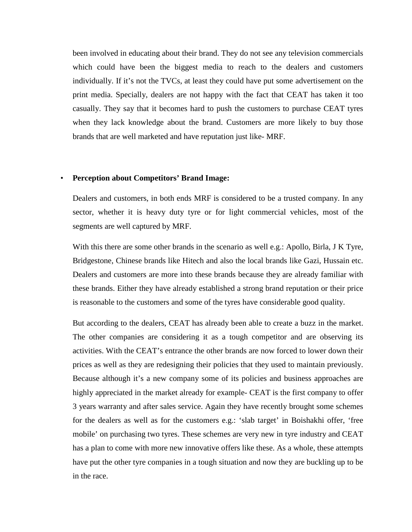been involved in educating about their brand. They do not see any television commercials which could have been the biggest media to reach to the dealers and customers individually. If it's not the TVCs, at least they could have put some advertisement on the print media. Specially, dealers are not happy with the fact that CEAT has taken it too casually. They say that it becomes hard to push the customers to purchase CEAT tyres when they lack knowledge about the brand. Customers are more likely to buy those brands that are well marketed and have reputation just like- MRF.

#### • **Perception about Competitors' Brand Image:**

Dealers and customers, in both ends MRF is considered to be a trusted company. In any sector, whether it is heavy duty tyre or for light commercial vehicles, most of the segments are well captured by MRF.

With this there are some other brands in the scenario as well e.g.: Apollo, Birla, J K Tyre, Bridgestone, Chinese brands like Hitech and also the local brands like Gazi, Hussain etc. Dealers and customers are more into these brands because they are already familiar with these brands. Either they have already established a strong brand reputation or their price is reasonable to the customers and some of the tyres have considerable good quality.

But according to the dealers, CEAT has already been able to create a buzz in the market. The other companies are considering it as a tough competitor and are observing its activities. With the CEAT's entrance the other brands are now forced to lower down their prices as well as they are redesigning their policies that they used to maintain previously. Because although it's a new company some of its policies and business approaches are highly appreciated in the market already for example- CEAT is the first company to offer 3 years warranty and after sales service. Again they have recently brought some schemes for the dealers as well as for the customers e.g.: 'slab target' in Boishakhi offer, 'free mobile' on purchasing two tyres. These schemes are very new in tyre industry and CEAT has a plan to come with more new innovative offers like these. As a whole, these attempts have put the other tyre companies in a tough situation and now they are buckling up to be in the race.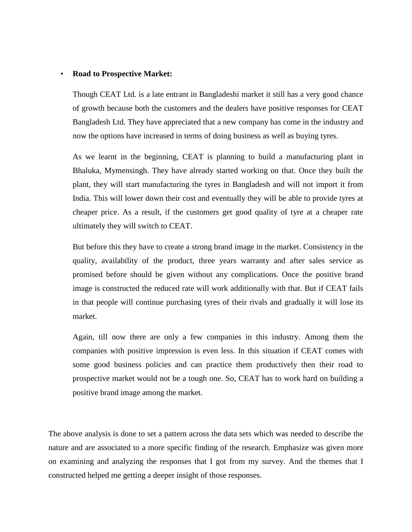#### • **Road to Prospective Market:**

Though CEAT Ltd. is a late entrant in Bangladeshi market it still has a very good chance of growth because both the customers and the dealers have positive responses for CEAT Bangladesh Ltd. They have appreciated that a new company has come in the industry and now the options have increased in terms of doing business as well as buying tyres.

As we learnt in the beginning, CEAT is planning to build a manufacturing plant in Bhaluka, Mymensingh. They have already started working on that. Once they built the plant, they will start manufacturing the tyres in Bangladesh and will not import it from India. This will lower down their cost and eventually they will be able to provide tyres at cheaper price. As a result, if the customers get good quality of tyre at a cheaper rate ultimately they will switch to CEAT.

But before this they have to create a strong brand image in the market. Consistency in the quality, availability of the product, three years warranty and after sales service as promised before should be given without any complications. Once the positive brand image is constructed the reduced rate will work additionally with that. But if CEAT fails in that people will continue purchasing tyres of their rivals and gradually it will lose its market.

Again, till now there are only a few companies in this industry. Among them the companies with positive impression is even less. In this situation if CEAT comes with some good business policies and can practice them productively then their road to prospective market would not be a tough one. So, CEAT has to work hard on building a positive brand image among the market.

The above analysis is done to set a pattern across the data sets which was needed to describe the nature and are associated to a more specific finding of the research. Emphasize was given more on examining and analyzing the responses that I got from my survey. And the themes that I constructed helped me getting a deeper insight of those responses.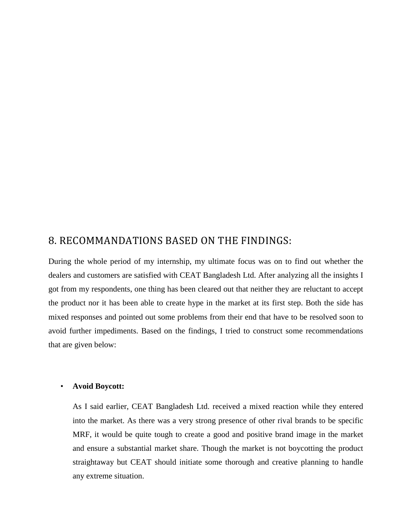## 8. RECOMMANDATIONS BASED ON THE FINDINGS:

During the whole period of my internship, my ultimate focus was on to find out whether the dealers and customers are satisfied with CEAT Bangladesh Ltd. After analyzing all the insights I got from my respondents, one thing has been cleared out that neither they are reluctant to accept the product nor it has been able to create hype in the market at its first step. Both the side has mixed responses and pointed out some problems from their end that have to be resolved soon to avoid further impediments. Based on the findings, I tried to construct some recommendations that are given below:

#### • **Avoid Boycott:**

As I said earlier, CEAT Bangladesh Ltd. received a mixed reaction while they entered into the market. As there was a very strong presence of other rival brands to be specific MRF, it would be quite tough to create a good and positive brand image in the market and ensure a substantial market share. Though the market is not boycotting the product straightaway but CEAT should initiate some thorough and creative planning to handle any extreme situation.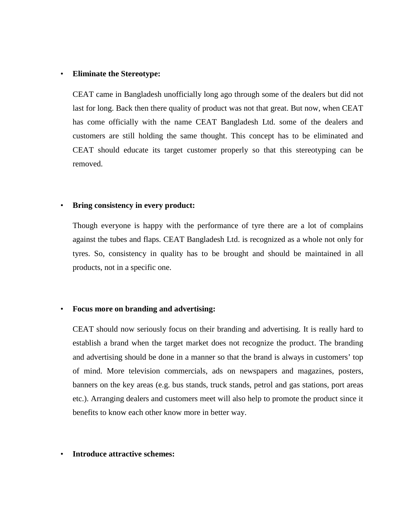#### • **Eliminate the Stereotype:**

CEAT came in Bangladesh unofficially long ago through some of the dealers but did not last for long. Back then there quality of product was not that great. But now, when CEAT has come officially with the name CEAT Bangladesh Ltd. some of the dealers and customers are still holding the same thought. This concept has to be eliminated and CEAT should educate its target customer properly so that this stereotyping can be removed.

#### • **Bring consistency in every product:**

Though everyone is happy with the performance of tyre there are a lot of complains against the tubes and flaps. CEAT Bangladesh Ltd. is recognized as a whole not only for tyres. So, consistency in quality has to be brought and should be maintained in all products, not in a specific one.

#### • **Focus more on branding and advertising:**

CEAT should now seriously focus on their branding and advertising. It is really hard to establish a brand when the target market does not recognize the product. The branding and advertising should be done in a manner so that the brand is always in customers' top of mind. More television commercials, ads on newspapers and magazines, posters, banners on the key areas (e.g. bus stands, truck stands, petrol and gas stations, port areas etc.). Arranging dealers and customers meet will also help to promote the product since it benefits to know each other know more in better way.

#### • **Introduce attractive schemes:**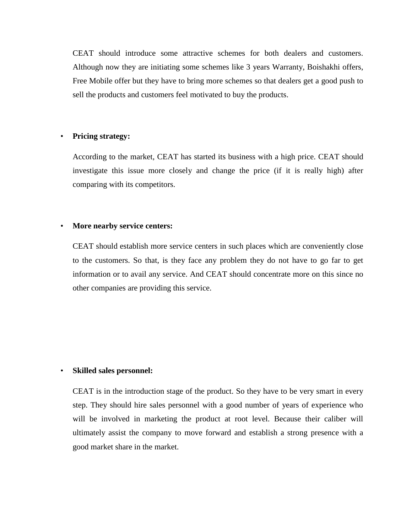CEAT should introduce some attractive schemes for both dealers and customers. Although now they are initiating some schemes like 3 years Warranty, Boishakhi offers, Free Mobile offer but they have to bring more schemes so that dealers get a good push to sell the products and customers feel motivated to buy the products.

#### • **Pricing strategy:**

According to the market, CEAT has started its business with a high price. CEAT should investigate this issue more closely and change the price (if it is really high) after comparing with its competitors.

#### • **More nearby service centers:**

CEAT should establish more service centers in such places which are conveniently close to the customers. So that, is they face any problem they do not have to go far to get information or to avail any service. And CEAT should concentrate more on this since no other companies are providing this service.

#### • **Skilled sales personnel:**

CEAT is in the introduction stage of the product. So they have to be very smart in every step. They should hire sales personnel with a good number of years of experience who will be involved in marketing the product at root level. Because their caliber will ultimately assist the company to move forward and establish a strong presence with a good market share in the market.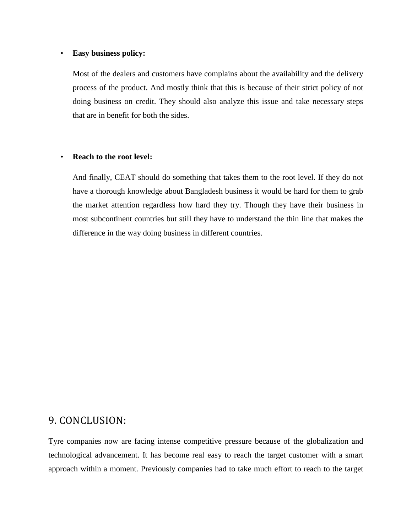#### • **Easy business policy:**

Most of the dealers and customers have complains about the availability and the delivery process of the product. And mostly think that this is because of their strict policy of not doing business on credit. They should also analyze this issue and take necessary steps that are in benefit for both the sides.

#### • **Reach to the root level:**

And finally, CEAT should do something that takes them to the root level. If they do not have a thorough knowledge about Bangladesh business it would be hard for them to grab the market attention regardless how hard they try. Though they have their business in most subcontinent countries but still they have to understand the thin line that makes the difference in the way doing business in different countries.

## 9. CONCLUSION:

Tyre companies now are facing intense competitive pressure because of the globalization and technological advancement. It has become real easy to reach the target customer with a smart approach within a moment. Previously companies had to take much effort to reach to the target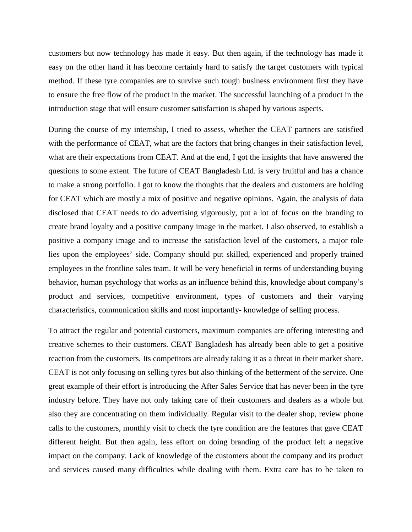customers but now technology has made it easy. But then again, if the technology has made it easy on the other hand it has become certainly hard to satisfy the target customers with typical method. If these tyre companies are to survive such tough business environment first they have to ensure the free flow of the product in the market. The successful launching of a product in the introduction stage that will ensure customer satisfaction is shaped by various aspects.

During the course of my internship, I tried to assess, whether the CEAT partners are satisfied with the performance of CEAT, what are the factors that bring changes in their satisfaction level, what are their expectations from CEAT. And at the end, I got the insights that have answered the questions to some extent. The future of CEAT Bangladesh Ltd. is very fruitful and has a chance to make a strong portfolio. I got to know the thoughts that the dealers and customers are holding for CEAT which are mostly a mix of positive and negative opinions. Again, the analysis of data disclosed that CEAT needs to do advertising vigorously, put a lot of focus on the branding to create brand loyalty and a positive company image in the market. I also observed, to establish a positive a company image and to increase the satisfaction level of the customers, a major role lies upon the employees' side. Company should put skilled, experienced and properly trained employees in the frontline sales team. It will be very beneficial in terms of understanding buying behavior, human psychology that works as an influence behind this, knowledge about company's product and services, competitive environment, types of customers and their varying characteristics, communication skills and most importantly- knowledge of selling process.

To attract the regular and potential customers, maximum companies are offering interesting and creative schemes to their customers. CEAT Bangladesh has already been able to get a positive reaction from the customers. Its competitors are already taking it as a threat in their market share. CEAT is not only focusing on selling tyres but also thinking of the betterment of the service. One great example of their effort is introducing the After Sales Service that has never been in the tyre industry before. They have not only taking care of their customers and dealers as a whole but also they are concentrating on them individually. Regular visit to the dealer shop, review phone calls to the customers, monthly visit to check the tyre condition are the features that gave CEAT different height. But then again, less effort on doing branding of the product left a negative impact on the company. Lack of knowledge of the customers about the company and its product and services caused many difficulties while dealing with them. Extra care has to be taken to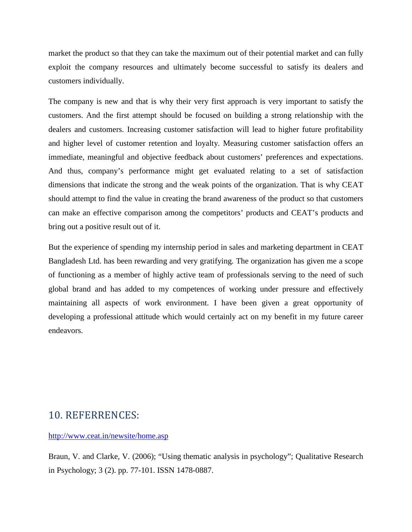market the product so that they can take the maximum out of their potential market and can fully exploit the company resources and ultimately become successful to satisfy its dealers and customers individually.

The company is new and that is why their very first approach is very important to satisfy the customers. And the first attempt should be focused on building a strong relationship with the dealers and customers. Increasing customer satisfaction will lead to higher future profitability and higher level of customer retention and loyalty. Measuring customer satisfaction offers an immediate, meaningful and objective feedback about customers' preferences and expectations. And thus, company's performance might get evaluated relating to a set of satisfaction dimensions that indicate the strong and the weak points of the organization. That is why CEAT should attempt to find the value in creating the brand awareness of the product so that customers can make an effective comparison among the competitors' products and CEAT's products and bring out a positive result out of it.

But the experience of spending my internship period in sales and marketing department in CEAT Bangladesh Ltd. has been rewarding and very gratifying. The organization has given me a scope of functioning as a member of highly active team of professionals serving to the need of such global brand and has added to my competences of working under pressure and effectively maintaining all aspects of work environment. I have been given a great opportunity of developing a professional attitude which would certainly act on my benefit in my future career endeavors.

## 10. REFERRENCES:

<http://www.ceat.in/newsite/home.asp>

Braun, V. and Clarke, V. (2006); "Using thematic analysis in psychology"; Qualitative Research in Psychology; 3 (2). pp. 77-101. ISSN 1478-0887.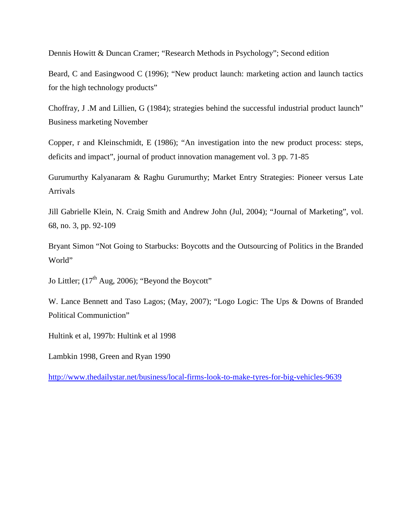Dennis Howitt & Duncan Cramer; "Research Methods in Psychology"; Second edition

Beard, C and Easingwood C (1996); "New product launch: marketing action and launch tactics for the high technology products"

Choffray, J .M and Lillien, G (1984); strategies behind the successful industrial product launch" Business marketing November

Copper, r and Kleinschmidt, E (1986); "An investigation into the new product process: steps, deficits and impact", journal of product innovation management vol. 3 pp. 71-85

Gurumurthy Kalyanaram & Raghu Gurumurthy; Market Entry Strategies: Pioneer versus Late Arrivals

Jill Gabrielle Klein, N. Craig Smith and Andrew John (Jul, 2004); "Journal of Marketing", vol. 68, no. 3, pp. 92-109

Bryant Simon "Not Going to Starbucks: Boycotts and the Outsourcing of Politics in the Branded World"

Jo Littler;  $(17<sup>th</sup> Aug, 2006)$ ; "Beyond the Boycott"

W. Lance Bennett and Taso Lagos; (May, 2007); "Logo Logic: The Ups & Downs of Branded Political Communiction"

Hultink et al, 1997b: Hultink et al 1998

Lambkin 1998, Green and Ryan 1990

<http://www.thedailystar.net/business/local-firms-look-to-make-tyres-for-big-vehicles-9639>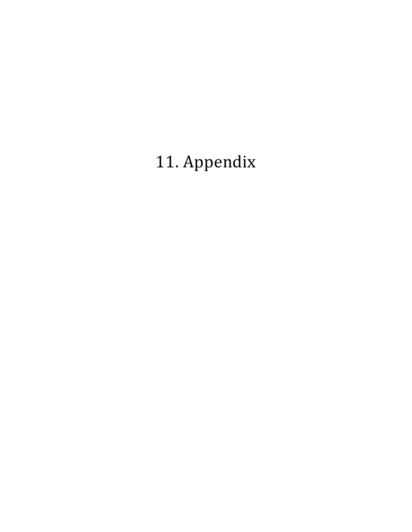# 11. Appendix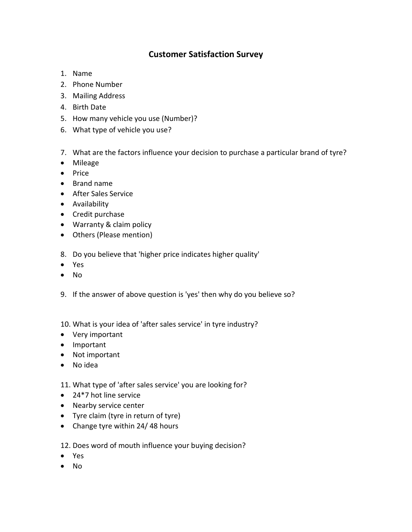## **Customer Satisfaction Survey**

- 1. Name
- 2. Phone Number
- 3. Mailing Address
- 4. Birth Date
- 5. How many vehicle you use (Number)?
- 6. What type of vehicle you use?
- 7. What are the factors influence your decision to purchase a particular brand of tyre?
- Mileage
- Price
- Brand name
- After Sales Service
- Availability
- Credit purchase
- Warranty & claim policy
- Others (Please mention)
- 8. Do you believe that 'higher price indicates higher quality'
- Yes
- No
- 9. If the answer of above question is 'yes' then why do you believe so?
- 10. What is your idea of 'after sales service' in tyre industry?
- Very important
- Important
- Not important
- No idea
- 11. What type of 'after sales service' you are looking for?
- 24\*7 hot line service
- Nearby service center
- Tyre claim (tyre in return of tyre)
- Change tyre within 24/ 48 hours

12. Does word of mouth influence your buying decision?

- Yes
- No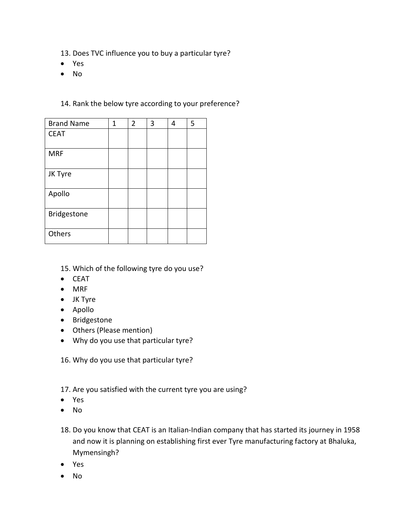- 13. Does TVC influence you to buy a particular tyre?
- Yes
- No

### 14. Rank the below tyre according to your preference?

| <b>Brand Name</b> | 1 | $\overline{2}$ | 3 | 4 | 5 |
|-------------------|---|----------------|---|---|---|
| <b>CEAT</b>       |   |                |   |   |   |
| <b>MRF</b>        |   |                |   |   |   |
| JK Tyre           |   |                |   |   |   |
| Apollo            |   |                |   |   |   |
| Bridgestone       |   |                |   |   |   |
| Others            |   |                |   |   |   |

- 15. Which of the following tyre do you use?
- CEAT
- MRF
- JK Tyre
- Apollo
- Bridgestone
- Others (Please mention)
- Why do you use that particular tyre?
- 16. Why do you use that particular tyre?
- 17. Are you satisfied with the current tyre you are using?
- Yes
- No
- 18. Do you know that CEAT is an Italian-Indian company that has started its journey in 1958 and now it is planning on establishing first ever Tyre manufacturing factory at Bhaluka, Mymensingh?
- Yes
- No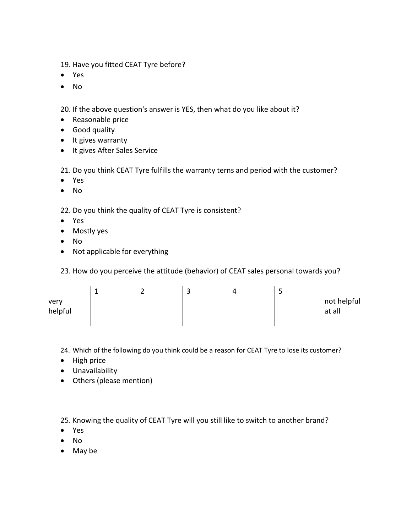19. Have you fitted CEAT Tyre before?

- Yes
- No

20. If the above question's answer is YES, then what do you like about it?

- Reasonable price
- Good quality
- It gives warranty
- It gives After Sales Service

21. Do you think CEAT Tyre fulfills the warranty terns and period with the customer?

- Yes
- No

22. Do you think the quality of CEAT Tyre is consistent?

- Yes
- Mostly yes
- No
- Not applicable for everything
- 23. How do you perceive the attitude (behavior) of CEAT sales personal towards you?

|                 |  | $\Delta$ |                       |
|-----------------|--|----------|-----------------------|
| very<br>helpful |  |          | not helpful<br>at all |

24. Which of the following do you think could be a reason for CEAT Tyre to lose its customer?

- High price
- Unavailability
- Others (please mention)

25. Knowing the quality of CEAT Tyre will you still like to switch to another brand?

- Yes
- No
- May be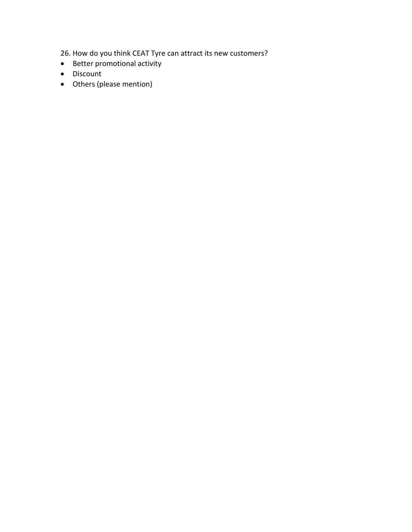26. How do you think CEAT Tyre can attract its new customers?

- Better promotional activity
- Discount
- Others (please mention)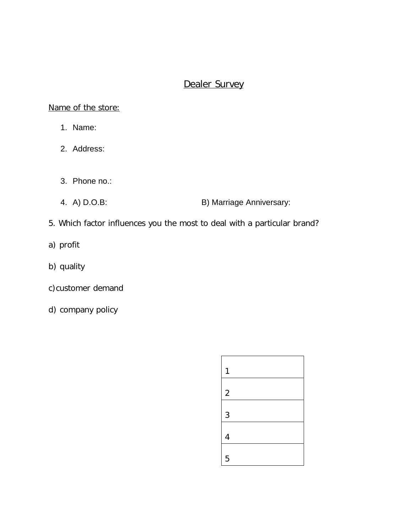## Dealer Survey

Name of the store:

- 1. Name:
- 2. Address:
- 3. Phone no.:
- 4. A) D.O.B: B) Marriage Anniversary:
- 5. Which factor influences you the most to deal with a particular brand?
- a) profit
- b) quality
- c)customer demand
- d) company policy

| 1          |  |
|------------|--|
| $\sqrt{2}$ |  |
| 3          |  |
| 4          |  |
| 5          |  |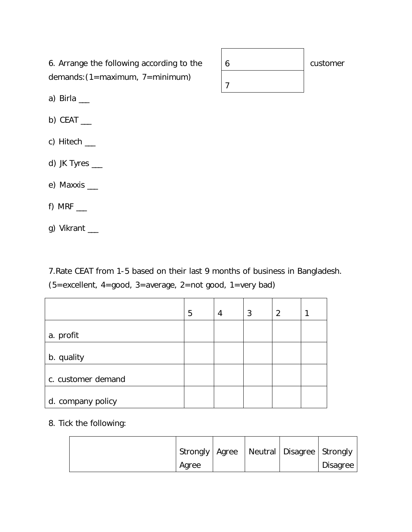6. Arrange the following according to the demands:(1=maximum, 7=minimum)

a) Birla  $\_\_$ 

b) CEAT  $\_$ 

c) Hitech \_\_\_

d) JK Tyres \_\_\_

e) Maxxis \_\_\_

f) MRF  $\_\_$ 

g) Vikrant \_\_

7.Rate CEAT from 1-5 based on their last 9 months of business in Bangladesh. (5=excellent, 4=good, 3=average, 2=not good, 1=very bad)

|                    | 5 | 4 | 3 | $\overline{2}$ |  |
|--------------------|---|---|---|----------------|--|
| a. profit          |   |   |   |                |  |
| b. quality         |   |   |   |                |  |
| c. customer demand |   |   |   |                |  |
| d. company policy  |   |   |   |                |  |

### 8. Tick the following:

|  | Strongly   Agree |  | Neutral   Disagree   Strongly |          |
|--|------------------|--|-------------------------------|----------|
|  | Agree            |  |                               | Disagree |

| n | customer |
|---|----------|
|   |          |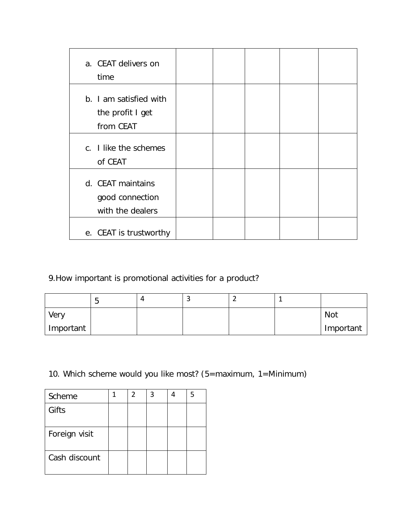| a. CEAT delivers on<br>time                              |  |  |  |
|----------------------------------------------------------|--|--|--|
| b. I am satisfied with<br>the profit I get<br>from CEAT  |  |  |  |
| c. I like the schemes<br>of CEAT                         |  |  |  |
| d. CEAT maintains<br>good connection<br>with the dealers |  |  |  |
| e. CEAT is trustworthy                                   |  |  |  |

9.How important is promotional activities for a product?

|           | ີ | 4 |  |            |
|-----------|---|---|--|------------|
| Very      |   |   |  | <b>Not</b> |
| Important |   |   |  | Important  |

10. Which scheme would you like most? (5=maximum, 1=Minimum)

| Scheme        | 2 | 3 | 5 |
|---------------|---|---|---|
| Gifts         |   |   |   |
|               |   |   |   |
| Foreign visit |   |   |   |
| Cash discount |   |   |   |